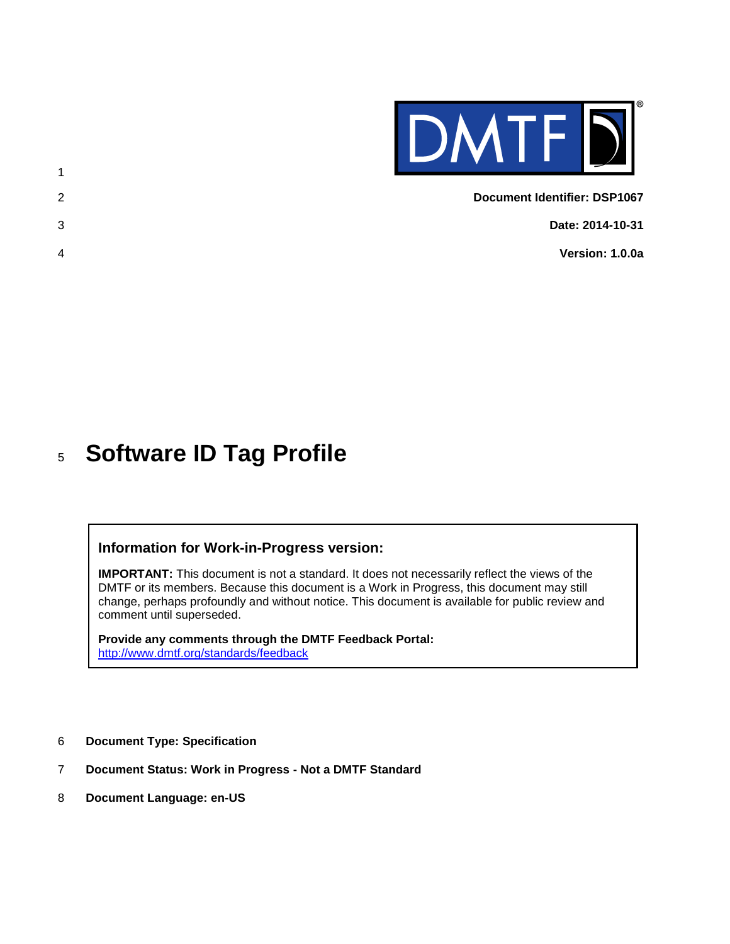

| <b>Document Identifier: DSP1067</b> | 2              |
|-------------------------------------|----------------|
| Date: 2014-10-31                    | 3              |
| Version: 1.0.0a                     | $\overline{4}$ |
|                                     |                |

# <sup>5</sup> **Software ID Tag Profile**

1

## **Information for Work-in-Progress version:**

**IMPORTANT:** This document is not a standard. It does not necessarily reflect the views of the DMTF or its members. Because this document is a Work in Progress, this document may still change, perhaps profoundly and without notice. This document is available for public review and comment until superseded.

**Provide any comments through the DMTF Feedback Portal:**  <http://www.dmtf.org/standards/feedback>

- 6 **Document Type: Specification**
- 7 **Document Status: Work in Progress - Not a DMTF Standard**
- 8 **Document Language: en-US**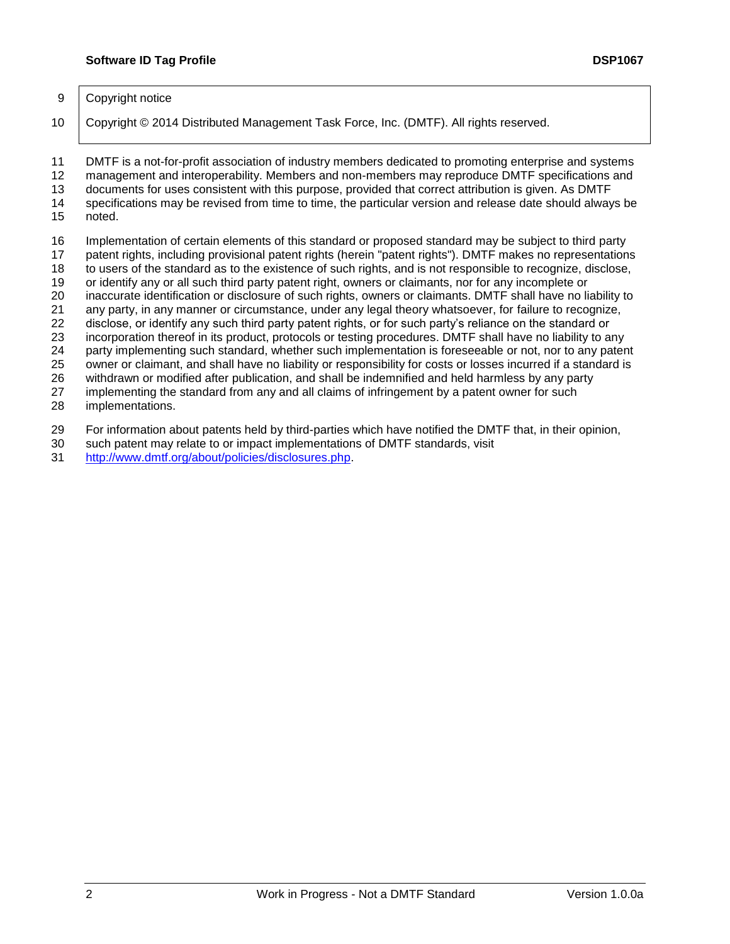#### 9 Copyright notice

Copyright © 2014 Distributed Management Task Force, Inc. (DMTF). All rights reserved.

 DMTF is a not-for-profit association of industry members dedicated to promoting enterprise and systems management and interoperability. Members and non-members may reproduce DMTF specifications and documents for uses consistent with this purpose, provided that correct attribution is given. As DMTF specifications may be revised from time to time, the particular version and release date should always be noted.

 Implementation of certain elements of this standard or proposed standard may be subject to third party patent rights, including provisional patent rights (herein "patent rights"). DMTF makes no representations to users of the standard as to the existence of such rights, and is not responsible to recognize, disclose, or identify any or all such third party patent right, owners or claimants, nor for any incomplete or inaccurate identification or disclosure of such rights, owners or claimants. DMTF shall have no liability to any party, in any manner or circumstance, under any legal theory whatsoever, for failure to recognize, disclose, or identify any such third party patent rights, or for such party's reliance on the standard or incorporation thereof in its product, protocols or testing procedures. DMTF shall have no liability to any party implementing such standard, whether such implementation is foreseeable or not, nor to any patent owner or claimant, and shall have no liability or responsibility for costs or losses incurred if a standard is withdrawn or modified after publication, and shall be indemnified and held harmless by any party implementing the standard from any and all claims of infringement by a patent owner for such implementations.

For information about patents held by third-parties which have notified the DMTF that, in their opinion,

- such patent may relate to or impact implementations of DMTF standards, visit
- http://www.dmtf.org/about/policies/disclosures.php.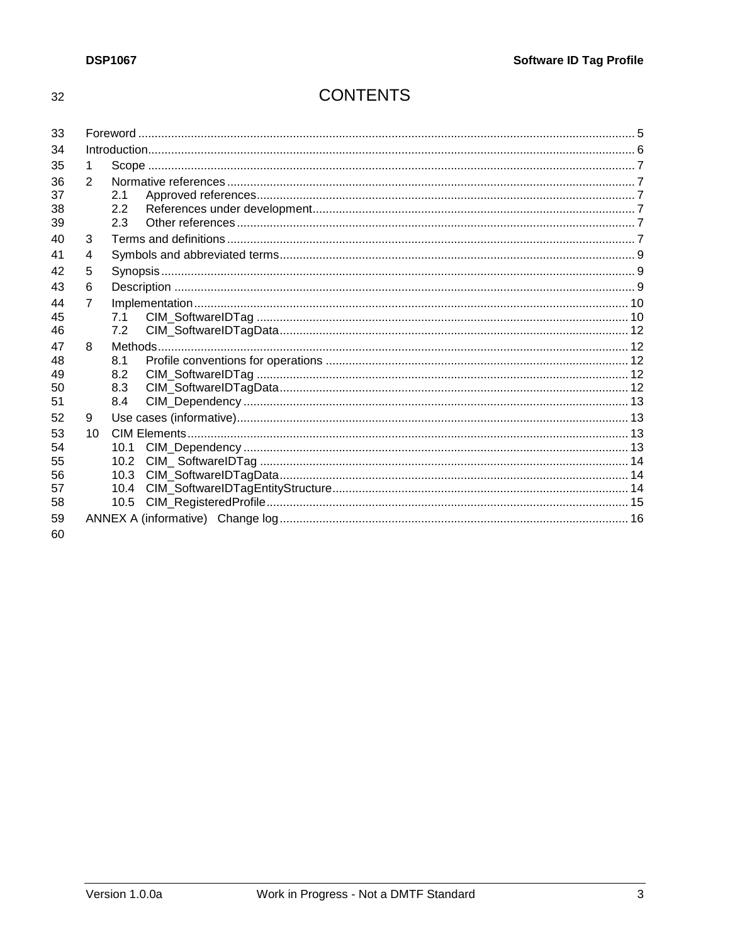#### 32

## **CONTENTS**

| 33 |                 |      |  |
|----|-----------------|------|--|
| 34 |                 |      |  |
| 35 | 1.              |      |  |
| 36 | 2               |      |  |
| 37 |                 | 2.1  |  |
| 38 |                 | 2.2  |  |
| 39 |                 | 2.3  |  |
| 40 | 3               |      |  |
| 41 | 4               |      |  |
| 42 | 5               |      |  |
| 43 | 6               |      |  |
| 44 | 7               |      |  |
| 45 |                 | 7.1  |  |
| 46 |                 | 7.2  |  |
| 47 | 8               |      |  |
| 48 |                 | 8.1  |  |
| 49 |                 | 8.2  |  |
| 50 |                 | 8.3  |  |
| 51 |                 | 8.4  |  |
| 52 | 9               |      |  |
| 53 | 10 <sup>1</sup> |      |  |
| 54 |                 | 10.1 |  |
| 55 |                 | 10.2 |  |
| 56 |                 | 10.3 |  |
| 57 |                 | 10.4 |  |
| 58 |                 | 10.5 |  |
| 59 |                 |      |  |
| 60 |                 |      |  |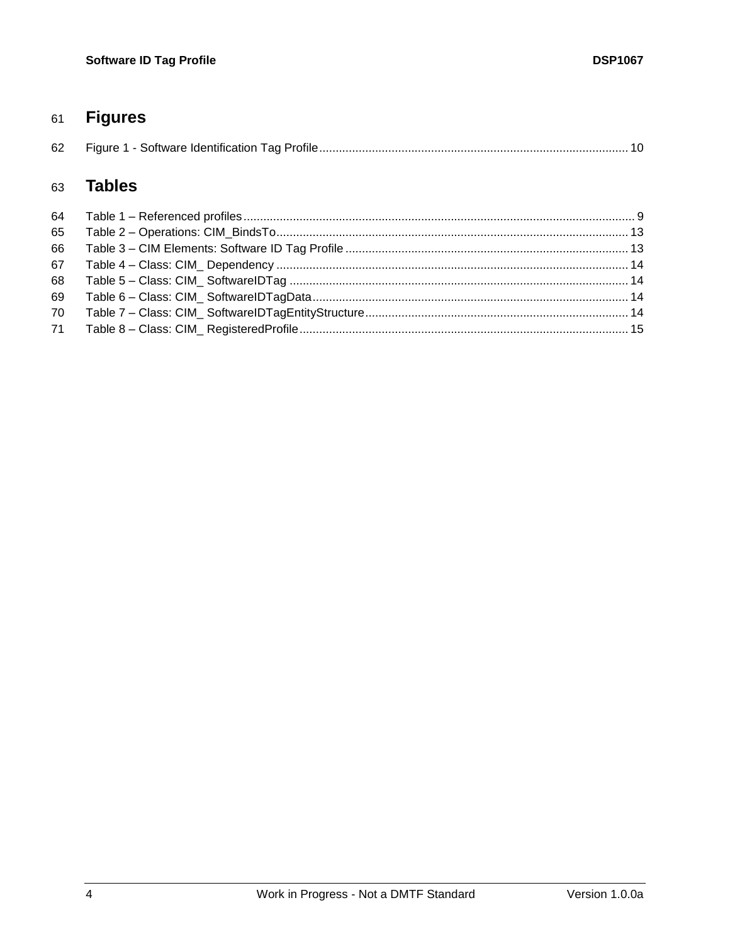# **Figures**

| 62 |  |  |  |  |
|----|--|--|--|--|
|----|--|--|--|--|

## **Tables**

| 65 |  |
|----|--|
| 66 |  |
| 67 |  |
| 68 |  |
| 69 |  |
| 70 |  |
|    |  |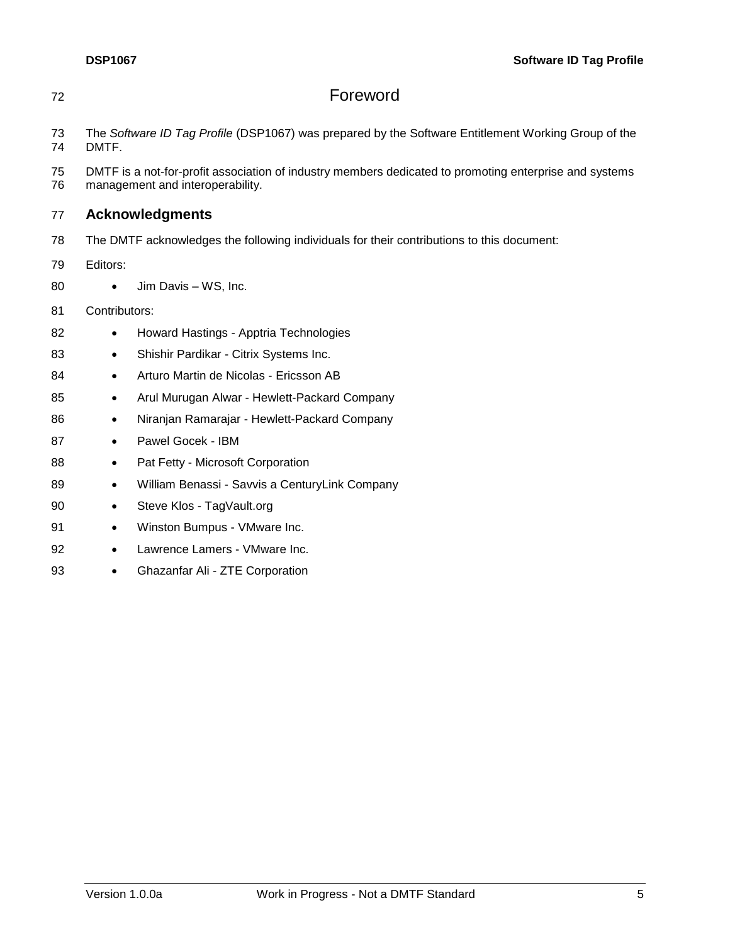<span id="page-4-0"></span>

## 72 Foreword

- 73 The *Software ID Tag Profile* (DSP1067) was prepared by the Software Entitlement Working Group of the DMTF.
- 75 DMTF is a not-for-profit association of industry members dedicated to promoting enterprise and systems 76 management and interoperability.
- 

## 77 **Acknowledgments**

- 78 The DMTF acknowledges the following individuals for their contributions to this document:
- 79 Editors:
- 80 Jim Davis WS, Inc.
- 81 Contributors:
- 82 Howard Hastings Apptria Technologies
- 83 Shishir Pardikar Citrix Systems Inc.
- 84 Arturo Martin de Nicolas Ericsson AB
- 85 Arul Murugan Alwar Hewlett-Packard Company
- 86 Niranjan Ramarajar Hewlett-Packard Company
- 87 · Pawel Gocek IBM
- 88 Pat Fetty Microsoft Corporation
- 89 **•** William Benassi Savvis a CenturyLink Company
- 90 Steve Klos TagVault.org
- 91 Winston Bumpus VMware Inc.
- 92 Lawrence Lamers VMware Inc.
- 93 **· Ghazanfar Ali ZTE Corporation**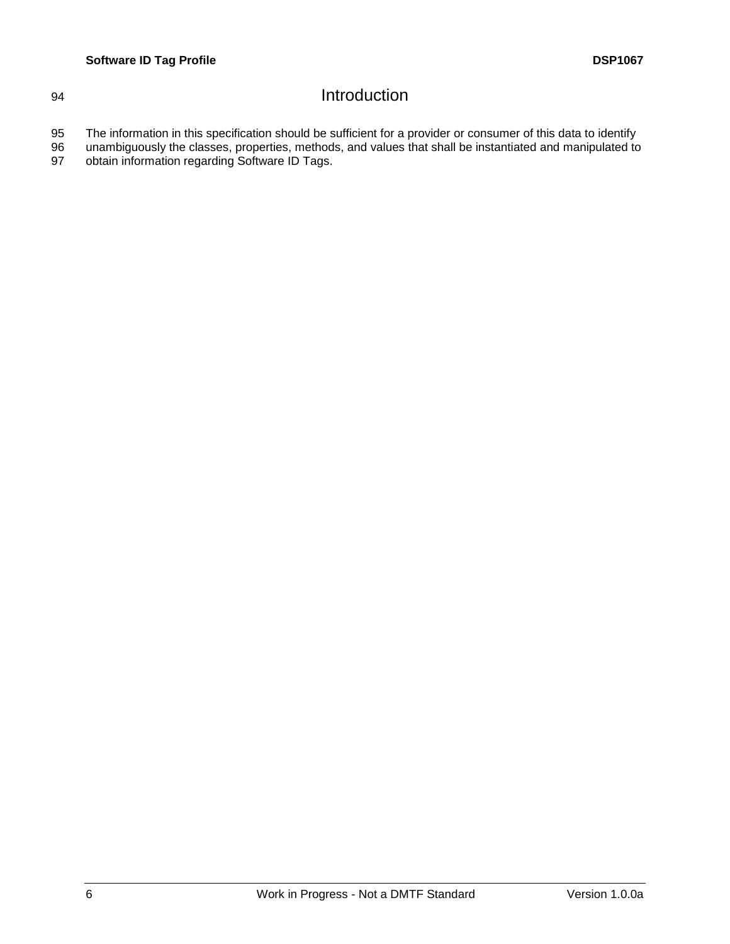## <span id="page-5-0"></span>94 Introduction

- 95 The information in this specification should be sufficient for a provider or consumer of this data to identify<br>96 unambiguously the classes, properties, methods, and values that shall be instantiated and manipulated to
- unambiguously the classes, properties, methods, and values that shall be instantiated and manipulated to 97 obtain information regarding Software ID Tags.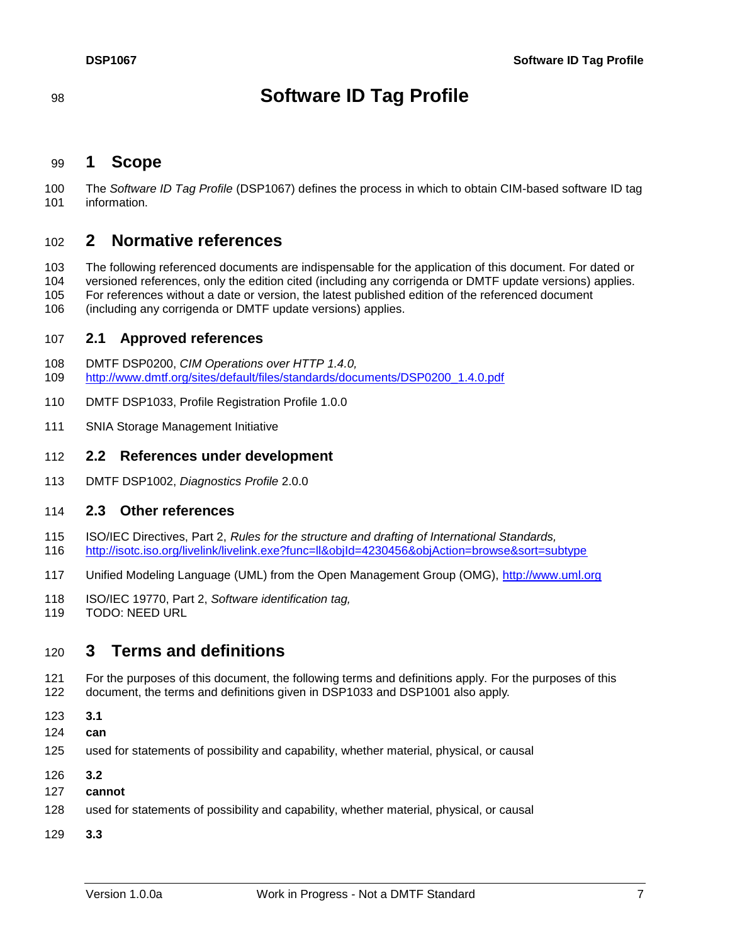## **Software ID Tag Profile**

## <span id="page-6-0"></span>**1 Scope**

 The *Software ID Tag Profile* (DSP1067) defines the process in which to obtain CIM-based software ID tag information.

## <span id="page-6-1"></span>**2 Normative references**

 The following referenced documents are indispensable for the application of this document. For dated or versioned references, only the edition cited (including any corrigenda or DMTF update versions) applies. For references without a date or version, the latest published edition of the referenced document

<span id="page-6-2"></span>(including any corrigenda or DMTF update versions) applies.

#### **2.1 Approved references**

- <span id="page-6-6"></span>DMTF DSP0200, *CIM Operations over HTTP 1.4.0,*
- http://www.dmtf.org/sites/default/files/standards/documents/DSP0200\_1.4.0.pdf
- DMTF DSP1033, Profile Registration Profile 1.0.0
- <span id="page-6-3"></span>SNIA Storage Management Initiative

#### **2.2 References under development**

<span id="page-6-4"></span>DMTF DSP1002, *Diagnostics Profile* 2.0.0

#### **2.3 Other references**

- ISO/IEC Directives, Part 2, *Rules for the structure and drafting of International Standards,*
- <http://isotc.iso.org/livelink/livelink.exe?func=ll&objId=4230456&objAction=browse&sort=subtype>
- Unified Modeling Language (UML) from the Open Management Group (OMG), [http://www.uml.org](http://www.uml.org/)
- ISO/IEC 19770, Part 2, *Software identification tag,*
- <span id="page-6-5"></span>TODO: NEED URL

## **3 Terms and definitions**

- For the purposes of this document, the following terms and definitions apply. For the purposes of this document, the terms and definitions given in DSP1033 and DSP1001 also apply.
- **3.1**
- **can**
- used for statements of possibility and capability, whether material, physical, or causal
- **3.2**
- **cannot**
- used for statements of possibility and capability, whether material, physical, or causal
- **3.3**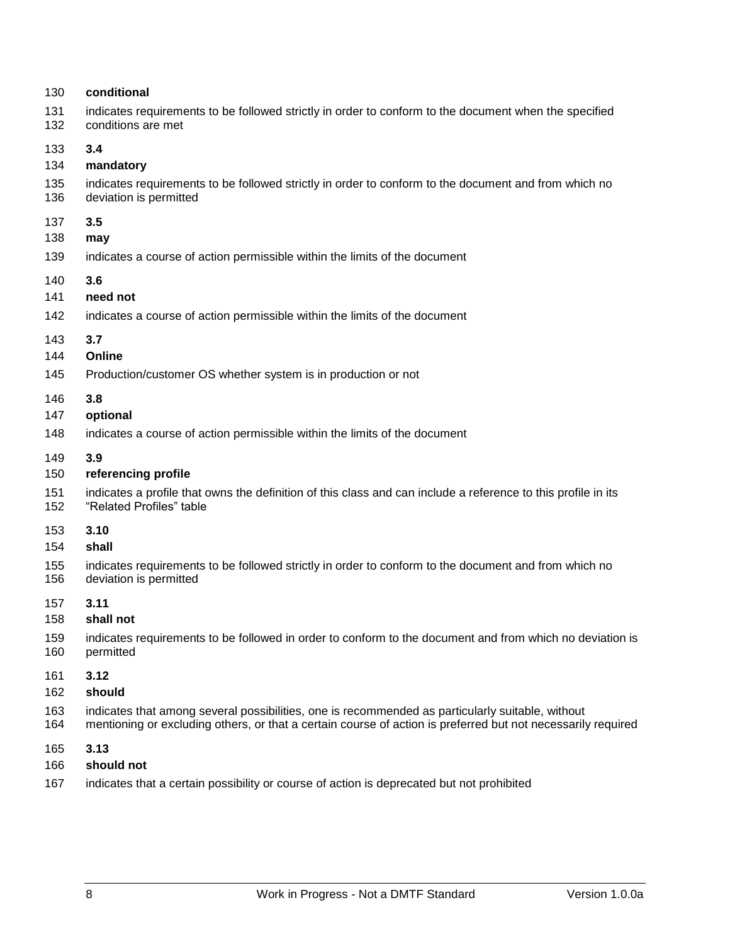| 130 | conditional                                                                                                   |
|-----|---------------------------------------------------------------------------------------------------------------|
| 131 | indicates requirements to be followed strictly in order to conform to the document when the specified         |
| 132 | conditions are met                                                                                            |
| 133 | 3.4                                                                                                           |
| 134 | mandatory                                                                                                     |
| 135 | indicates requirements to be followed strictly in order to conform to the document and from which no          |
| 136 | deviation is permitted                                                                                        |
| 137 | 3.5                                                                                                           |
| 138 | may                                                                                                           |
| 139 | indicates a course of action permissible within the limits of the document                                    |
| 140 | 3.6                                                                                                           |
| 141 | need not                                                                                                      |
| 142 | indicates a course of action permissible within the limits of the document                                    |
| 143 | 3.7                                                                                                           |
| 144 | Online                                                                                                        |
| 145 | Production/customer OS whether system is in production or not                                                 |
| 146 | 3.8                                                                                                           |
| 147 | optional                                                                                                      |
| 148 | indicates a course of action permissible within the limits of the document                                    |
| 149 | 3.9                                                                                                           |
| 150 | referencing profile                                                                                           |
| 151 | indicates a profile that owns the definition of this class and can include a reference to this profile in its |
| 152 | "Related Profiles" table                                                                                      |
| 153 | 3.10                                                                                                          |
| 154 | shall                                                                                                         |
| 155 | indicates requirements to be followed strictly in order to conform to the document and from which no          |
| 156 | deviation is permitted                                                                                        |
| 157 | 3.11                                                                                                          |
| 158 | shall not                                                                                                     |
| 159 | indicates requirements to be followed in order to conform to the document and from which no deviation is      |
| 160 | permitted                                                                                                     |
| 161 | 3.12                                                                                                          |

- **should**
- 163 indicates that among several possibilities, one is recommended as particularly suitable, without<br>164 mentioning or excluding others, or that a certain course of action is preferred but not necessarily
- mentioning or excluding others, or that a certain course of action is preferred but not necessarily required
- **3.13**
- **should not**
- indicates that a certain possibility or course of action is deprecated but not prohibited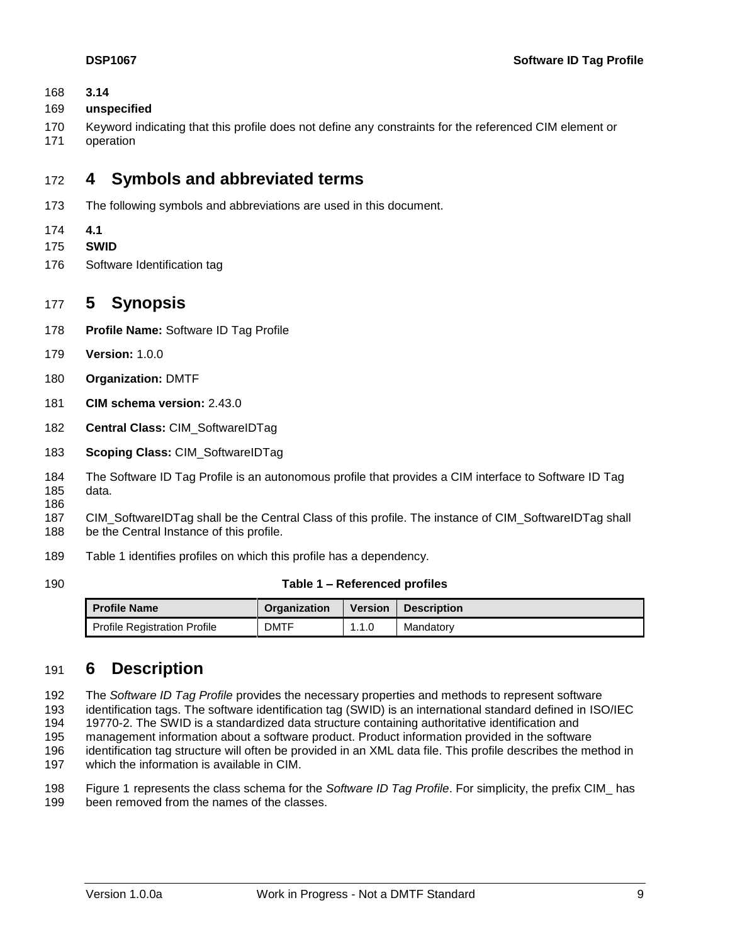**3.14**

#### **unspecified**

- Keyword indicating that this profile does not define any constraints for the referenced CIM element or
- <span id="page-8-0"></span>operation

## **4 Symbols and abbreviated terms**

- The following symbols and abbreviations are used in this document.
- **4.1**
- **SWID**
- <span id="page-8-1"></span>Software Identification tag

## **5 Synopsis**

- **Profile Name:** Software ID Tag Profile
- **Version:** 1.0.0
- **Organization:** DMTF
- **CIM schema version:** 2.43.0
- **Central Class:** CIM\_SoftwareIDTag
- **Scoping Class:** CIM\_SoftwareIDTag

 The Software ID Tag Profile is an autonomous profile that provides a CIM interface to Software ID Tag data.

 CIM\_SoftwareIDTag shall be the Central Class of this profile. The instance of CIM\_SoftwareIDTag shall be the Central Instance of this profile.

- [Table 1](#page-8-3) identifies profiles on which this profile has a dependency.
- 

#### **Table 1 – Referenced profiles**

<span id="page-8-3"></span><span id="page-8-2"></span>

| <b>Profile Name</b>                 | <b>Organization</b> | <b>Version</b> | <b>Description</b> |
|-------------------------------------|---------------------|----------------|--------------------|
| <b>Profile Registration Profile</b> | <b>DMTF</b>         | 1.1.0          | Mandatorv          |

## **6 Description**

The *Software ID Tag Profile* provides the necessary properties and methods to represent software

identification tags. The software identification tag (SWID) is an international standard defined in ISO/IEC

19770-2. The SWID is a standardized data structure containing authoritative identification and

management information about a software product. Product information provided in the software

identification tag structure will often be provided in an XML data file. This profile describes the method in

which the information is available in CIM.

 [Figure](#page-9-2) 1 represents the class schema for the *Software ID Tag Profile*. For simplicity, the prefix CIM\_ has been removed from the names of the classes.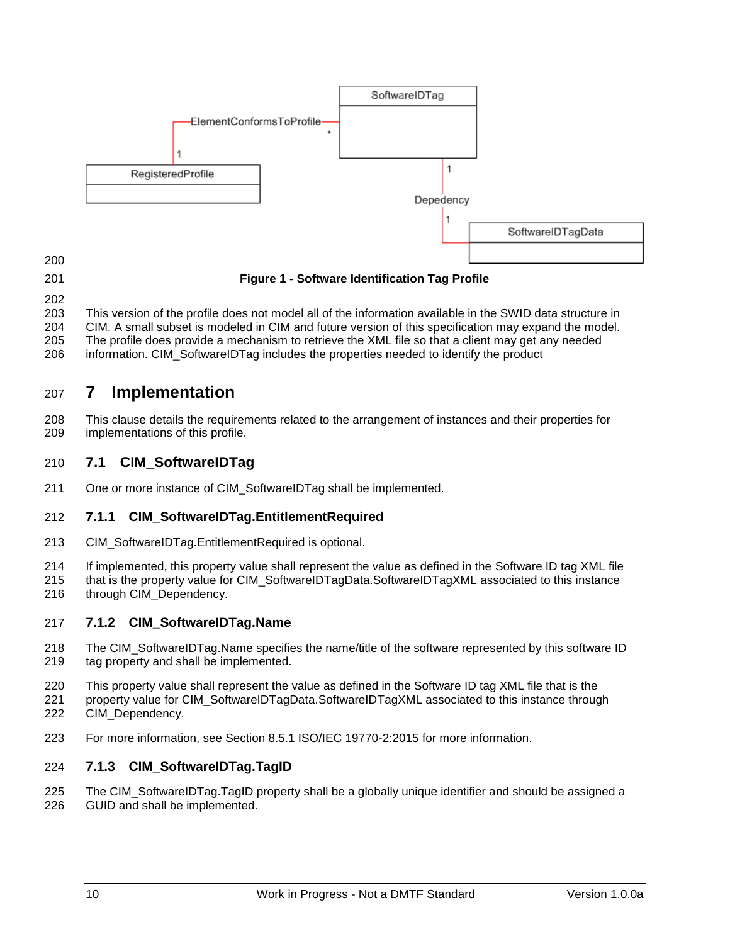

#### **Figure 1 - Software Identification Tag Profile**

- 
- <span id="page-9-2"></span>
- This version of the profile does not model all of the information available in the SWID data structure in
- CIM. A small subset is modeled in CIM and future version of this specification may expand the model. The profile does provide a mechanism to retrieve the XML file so that a client may get any needed
- <span id="page-9-0"></span>information. CIM\_SoftwareIDTag includes the properties needed to identify the product

## **7 Implementation**

 This clause details the requirements related to the arrangement of instances and their properties for implementations of this profile.

### <span id="page-9-1"></span>**7.1 CIM\_SoftwareIDTag**

211 One or more instance of CIM\_SoftwareIDTag shall be implemented.

#### <span id="page-9-5"></span>**7.1.1 CIM\_SoftwareIDTag.EntitlementRequired**

- 213 CIM SoftwareIDTag.EntitlementRequired is optional.
- If implemented, this property value shall represent the value as defined in the Software ID tag XML file
- 215 that is the property value for CIM SoftwareIDTagData.SoftwareIDTagXML associated to this instance 216 through CIM Dependency.

#### <span id="page-9-3"></span>**7.1.2 CIM\_SoftwareIDTag.Name**

- The CIM\_SoftwareIDTag.Name specifies the name/title of the software represented by this software ID 219 tag property and shall be implemented.
- This property value shall represent the value as defined in the Software ID tag XML file that is the
- property value for CIM\_SoftwareIDTagData.SoftwareIDTagXML associated to this instance through CIM\_Dependency.
- <span id="page-9-4"></span>For more information, see Section 8.5.1 ISO/IEC 19770-2:2015 for more information.

### **7.1.3 CIM\_SoftwareIDTag.TagID**

 The CIM\_SoftwareIDTag.TagID property shall be a globally unique identifier and should be assigned a GUID and shall be implemented.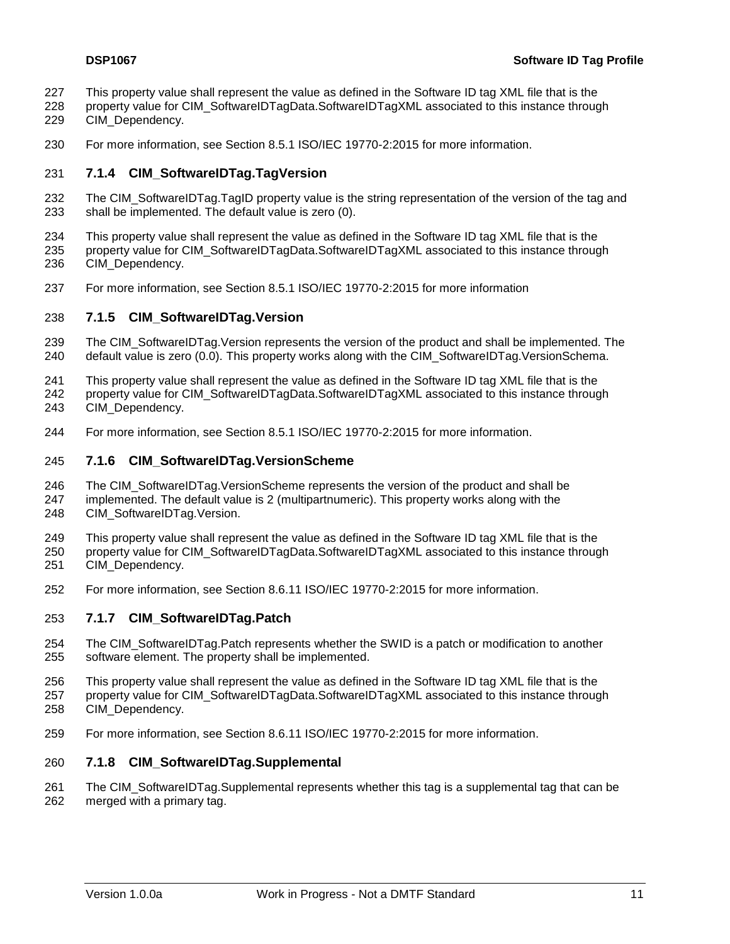- 227 This property value shall represent the value as defined in the Software ID tag XML file that is the
- 228 property value for CIM SoftwareIDTagData.SoftwareIDTagXML associated to this instance through CIM\_Dependency.
- <span id="page-10-0"></span>For more information, see Section 8.5.1 ISO/IEC 19770-2:2015 for more information.

#### **7.1.4 CIM\_SoftwareIDTag.TagVersion**

- The CIM\_SoftwareIDTag.TagID property value is the string representation of the version of the tag and shall be implemented. The default value is zero (0).
- This property value shall represent the value as defined in the Software ID tag XML file that is the property value for CIM\_SoftwareIDTagData.SoftwareIDTagXML associated to this instance through CIM\_Dependency.
- <span id="page-10-1"></span>For more information, see Section 8.5.1 ISO/IEC 19770-2:2015 for more information

#### **7.1.5 CIM\_SoftwareIDTag.Version**

- 239 The CIM SoftwareIDTag.Version represents the version of the product and shall be implemented. The 240 default value is zero (0.0). This property works along with the CIM SoftwareIDTag.VersionSchema.
- This property value shall represent the value as defined in the Software ID tag XML file that is the

property value for CIM\_SoftwareIDTagData.SoftwareIDTagXML associated to this instance through

- CIM\_Dependency.
- <span id="page-10-2"></span>For more information, see Section 8.5.1 ISO/IEC 19770-2:2015 for more information.

#### **7.1.6 CIM\_SoftwareIDTag.VersionScheme**

- The CIM\_SoftwareIDTag.VersionScheme represents the version of the product and shall be
- implemented. The default value is 2 (multipartnumeric). This property works along with the 248 CIM\_SoftwareIDTag.Version.
- This property value shall represent the value as defined in the Software ID tag XML file that is the
- property value for CIM\_SoftwareIDTagData.SoftwareIDTagXML associated to this instance through CIM\_Dependency.
- <span id="page-10-3"></span>For more information, see Section 8.6.11 ISO/IEC 19770-2:2015 for more information.

#### **7.1.7 CIM\_SoftwareIDTag.Patch**

- The CIM\_SoftwareIDTag.Patch represents whether the SWID is a patch or modification to another software element. The property shall be implemented.
- This property value shall represent the value as defined in the Software ID tag XML file that is the property value for CIM\_SoftwareIDTagData.SoftwareIDTagXML associated to this instance through CIM\_Dependency.
- <span id="page-10-4"></span>For more information, see Section 8.6.11 ISO/IEC 19770-2:2015 for more information.

#### **7.1.8 CIM\_SoftwareIDTag.Supplemental**

 The CIM\_SoftwareIDTag.Supplemental represents whether this tag is a supplemental tag that can be merged with a primary tag.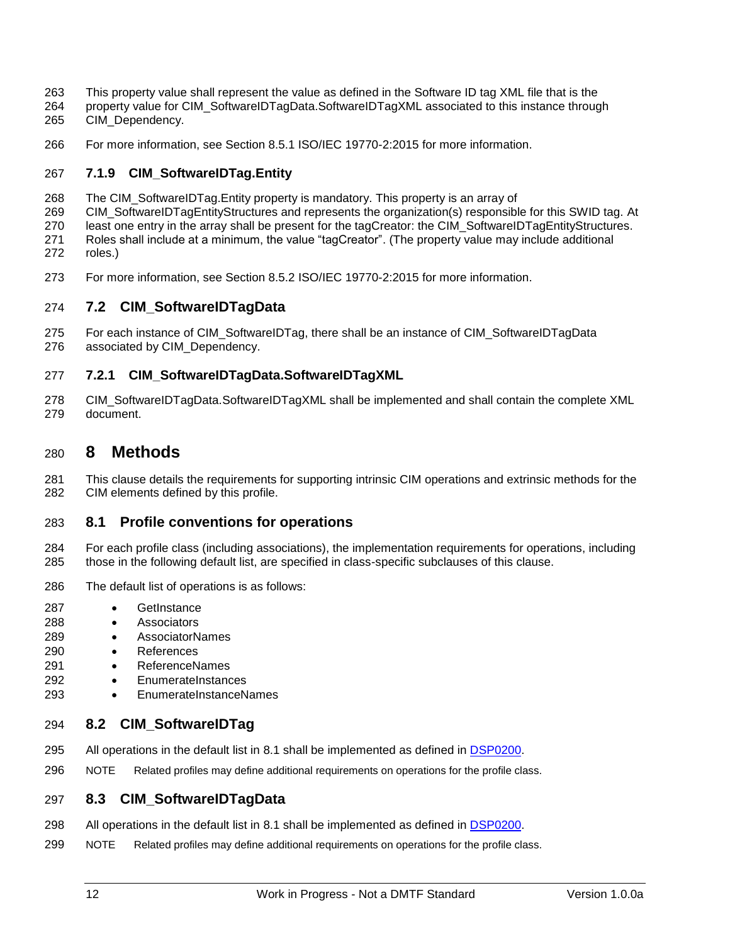- This property value shall represent the value as defined in the Software ID tag XML file that is the
- property value for CIM\_SoftwareIDTagData.SoftwareIDTagXML associated to this instance through CIM\_Dependency.
- <span id="page-11-5"></span>For more information, see Section 8.5.1 ISO/IEC 19770-2:2015 for more information.

#### **7.1.9 CIM\_SoftwareIDTag.Entity**

- The CIM\_SoftwareIDTag.Entity property is mandatory. This property is an array of
- CIM\_SoftwareIDTagEntityStructures and represents the organization(s) responsible for this SWID tag. At
- least one entry in the array shall be present for the tagCreator: the CIM\_SoftwareIDTagEntityStructures.
- Roles shall include at a minimum, the value "tagCreator". (The property value may include additional roles.)
- <span id="page-11-0"></span>For more information, see Section 8.5.2 ISO/IEC 19770-2:2015 for more information.

#### **7.2 CIM\_SoftwareIDTagData**

 For each instance of CIM\_SoftwareIDTag, there shall be an instance of CIM\_SoftwareIDTagData associated by CIM\_Dependency.

#### **7.2.1 CIM\_SoftwareIDTagData.SoftwareIDTagXML**

 CIM\_SoftwareIDTagData.SoftwareIDTagXML shall be implemented and shall contain the complete XML document.

### <span id="page-11-1"></span>**8 Methods**

 This clause details the requirements for supporting intrinsic CIM operations and extrinsic methods for the CIM elements defined by this profile.

#### <span id="page-11-2"></span>**8.1 Profile conventions for operations**

- For each profile class (including associations), the implementation requirements for operations, including those in the following default list, are specified in class-specific subclauses of this clause.
- The default list of operations is as follows:
- 287 · GetInstance
- 288 · Associators
- 289 · AssociatorNames
- References
- ReferenceNames
- EnumerateInstances
- <span id="page-11-3"></span>EnumerateInstanceNames

#### **8.2 CIM\_SoftwareIDTag**

- All operations in the default list in [8.1](#page-11-2) shall be implemented as defined in [DSP0200.](#page-6-6)
- <span id="page-11-4"></span>NOTE Related profiles may define additional requirements on operations for the profile class.

#### **8.3 CIM\_SoftwareIDTagData**

- All operations in the default list in [8.1](#page-11-2) shall be implemented as defined in [DSP0200.](#page-6-6)
- NOTE Related profiles may define additional requirements on operations for the profile class.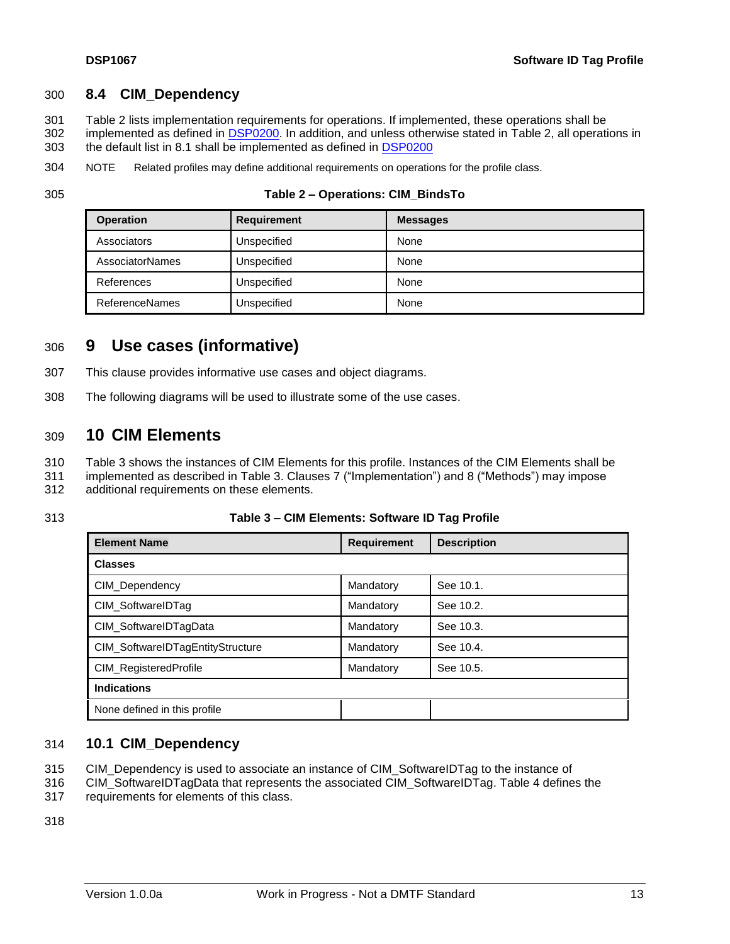#### <span id="page-12-0"></span>300 **8.4 CIM\_Dependency**

301 [Table 2](#page-12-4) lists implementation requirements for operations. If implemented, these operations shall be 302 implemented as defined in [DSP0200.](#page-6-6) In addition, and unless otherwise stated in [Table 2,](#page-12-4) all operations in 303 the default list in 8.1 shall be implemented as defined in [DSP0200](#page-6-6)

304 NOTE Related profiles may define additional requirements on operations for the profile class.

| 305 | Table 2 - Operations: CIM_BindsTo |
|-----|-----------------------------------|
|     |                                   |

<span id="page-12-4"></span>

| <b>Operation</b>      | <b>Requirement</b> | <b>Messages</b> |
|-----------------------|--------------------|-----------------|
| Associators           | Unspecified        | None            |
| AssociatorNames       | Unspecified        | None            |
| References            | Unspecified        | None            |
| <b>ReferenceNames</b> | Unspecified        | None            |

## <span id="page-12-1"></span>306 **9 Use cases (informative)**

307 This clause provides informative use cases and object diagrams.

<span id="page-12-2"></span>308 The following diagrams will be used to illustrate some of the use cases.

## 309 **10 CIM Elements**

310 [Table 3](#page-12-5) shows the instances of CIM Elements for this profile. Instances of the CIM Elements shall be

311 implemented as described in [Table 3.](#page-12-5) Clauses [7](#page-9-0) ("Implementation") and [8](#page-11-1) ("Methods") may impose

312 additional requirements on these elements.

#### 313 **Table 3 – CIM Elements: Software ID Tag Profile**

<span id="page-12-5"></span>

| <b>Element Name</b>              | <b>Requirement</b> | <b>Description</b> |
|----------------------------------|--------------------|--------------------|
| <b>Classes</b>                   |                    |                    |
| CIM_Dependency                   | Mandatory          | See 10.1.          |
| CIM SoftwareIDTag                | Mandatory          | See 10.2.          |
| CIM_SoftwareIDTagData            | Mandatory          | See 10.3.          |
| CIM_SoftwareIDTagEntityStructure | Mandatory          | See 10.4.          |
| CIM_RegisteredProfile            | Mandatory          | See 10.5.          |
| <b>Indications</b>               |                    |                    |
| None defined in this profile     |                    |                    |

#### <span id="page-12-3"></span>314 **10.1 CIM\_Dependency**

- 315 CIM\_Dependency is used to associate an instance of CIM\_SoftwareIDTag to the instance of
- 316 CIM\_SoftwareIDTagData that represents the associated CIM\_SoftwareIDTag. Table 4 defines the
- 317 requirements for elements of this class.

318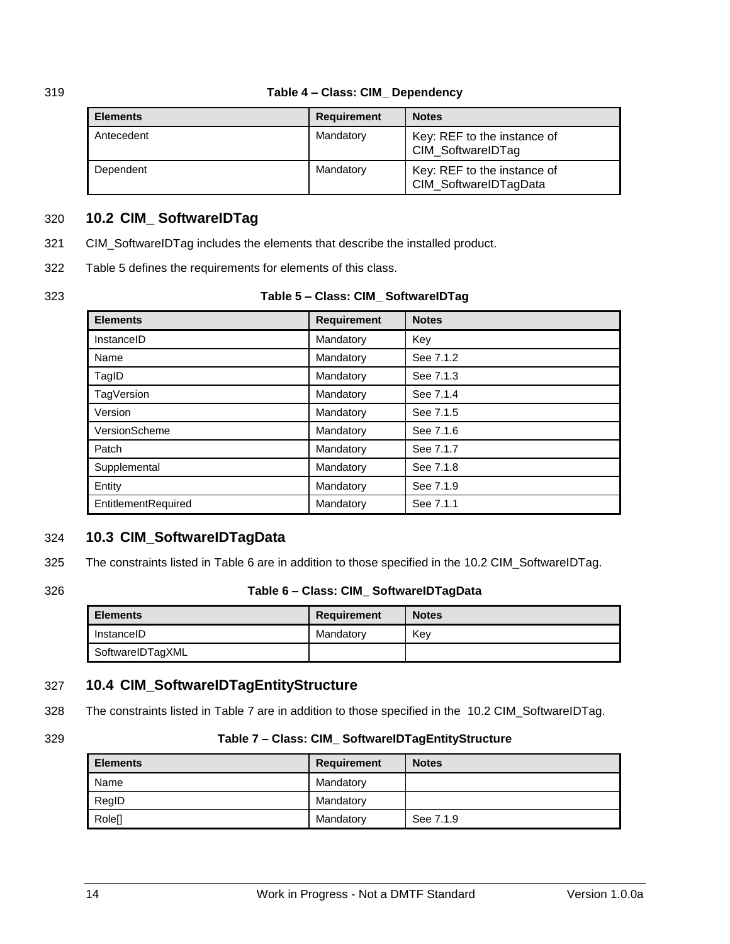#### 319 **Table 4 – Class: CIM\_ Dependency**

<span id="page-13-3"></span>

| <b>Elements</b> | <b>Requirement</b> | <b>Notes</b>                                         |
|-----------------|--------------------|------------------------------------------------------|
| Antecedent      | Mandatory          | Key: REF to the instance of<br>CIM SoftwareIDTag     |
| Dependent       | Mandatory          | Key: REF to the instance of<br>CIM_SoftwareIDTagData |

#### <span id="page-13-0"></span>320 **10.2 CIM\_ SoftwareIDTag**

321 CIM\_SoftwareIDTag includes the elements that describe the installed product.

322 [Table 5](#page-13-4) defines the requirements for elements of this class.

#### 323 **Table 5 – Class: CIM\_ SoftwareIDTag**

<span id="page-13-4"></span>

| <b>Elements</b>     | <b>Requirement</b> | <b>Notes</b> |
|---------------------|--------------------|--------------|
| InstanceID          | Mandatory          | Key          |
| Name                | Mandatory          | See 7.1.2    |
| TagID               | Mandatory          | See 7.1.3    |
| TagVersion          | Mandatory          | See 7.1.4    |
| Version             | Mandatory          | See 7.1.5    |
| VersionScheme       | Mandatory          | See 7.1.6    |
| Patch               | Mandatory          | See 7.1.7    |
| Supplemental        | Mandatory          | See 7.1.8    |
| Entity              | Mandatory          | See 7.1.9    |
| EntitlementRequired | Mandatory          | See 7.1.1    |

### <span id="page-13-1"></span>324 **10.3 CIM\_SoftwareIDTagData**

325 The constraints listed in [Table 6](#page-13-5) are in addition to those specified in the [10.2](#page-13-0) CIM\_SoftwareIDTag.

#### 326 **Table 6 – Class: CIM\_ SoftwareIDTagData**

<span id="page-13-5"></span>

| <b>Elements</b>  | Requirement | <b>Notes</b> |
|------------------|-------------|--------------|
| InstanceID       | Mandatory   | Kev          |
| SoftwareIDTagXML |             |              |

## <span id="page-13-2"></span>327 **10.4 CIM\_SoftwareIDTagEntityStructure**

328 The constraints listed in [Table 7](#page-13-6) are in addition to those specified in the [10.2](#page-13-0) CIM\_SoftwareIDTag.

#### 329 **Table 7 – Class: CIM\_ SoftwareIDTagEntityStructure**

<span id="page-13-6"></span>

| <b>Elements</b>    | Requirement | <b>Notes</b> |
|--------------------|-------------|--------------|
| Name               | Mandatory   |              |
| RegID              | Mandatory   |              |
| Role <sup>[]</sup> | Mandatory   | See 7.1.9    |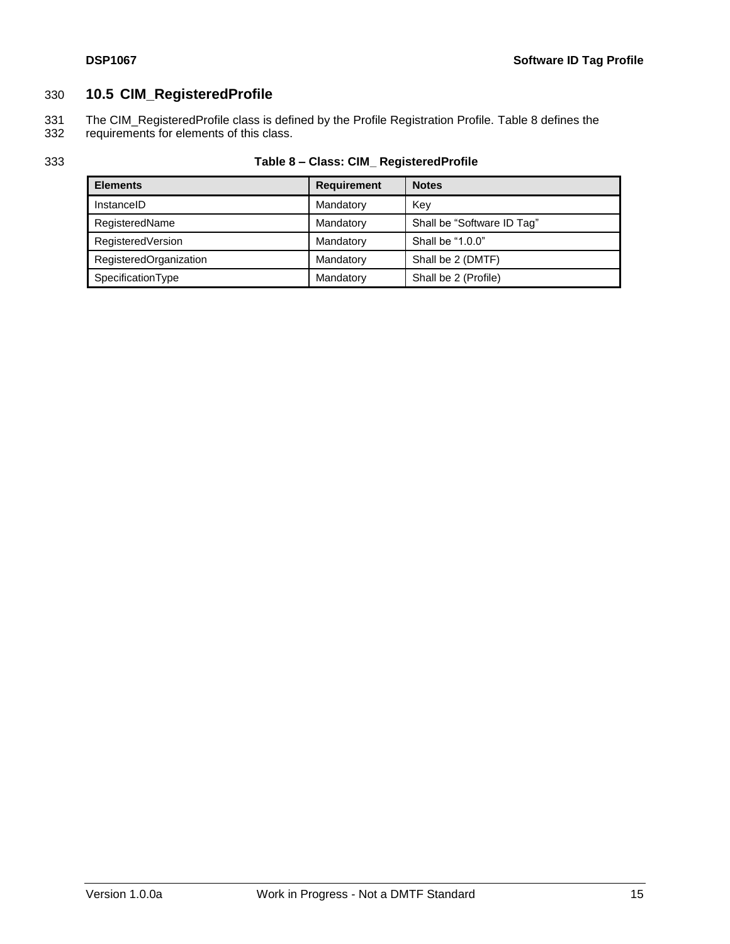## <span id="page-14-0"></span>330 **10.5 CIM\_RegisteredProfile**

331 The CIM\_RegisteredProfile class is defined by the Profile Registration Profile. [Table 8](#page-14-1) defines the 332 requirements for elements of this class.

#### 333 **Table 8 – Class: CIM\_ RegisteredProfile**

<span id="page-14-1"></span>

| <b>Elements</b>        | <b>Requirement</b> | <b>Notes</b>               |  |
|------------------------|--------------------|----------------------------|--|
| InstanceID             | Mandatory          | Key                        |  |
| RegisteredName         | Mandatory          | Shall be "Software ID Tag" |  |
| RegisteredVersion      | Mandatory          | Shall be "1.0.0"           |  |
| RegisteredOrganization | Mandatory          | Shall be 2 (DMTF)          |  |
| SpecificationType      | Mandatory          | Shall be 2 (Profile)       |  |